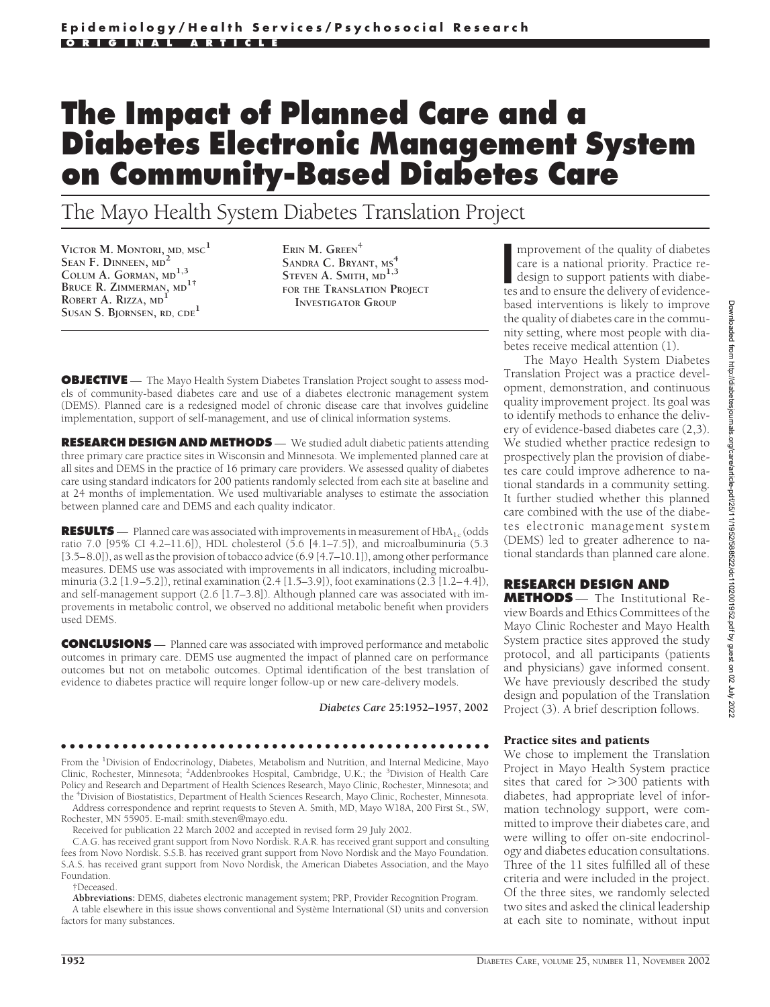# **The Impact of Planned Care and a Diabetes Electronic Management System on Community-Based Diabetes Care**

The Mayo Health System Diabetes Translation Project

**VICTOR M. MONTORI, MD, MSC<sup>1</sup> SEAN F. DINNEEN, MD<sup>2</sup> COLUM A. GORMAN, MD1,3 BRUCE R. ZIMMERMAN, MD1† ROBERT A. RIZZA, MD<sup>1</sup> SUSAN S. BJORNSEN, RD, CDE1**

ERIN M. GREEN<sup>4</sup> **SANDRA C. BRYANT, MS<sup>4</sup> STEVEN A. SMITH, MD1,3 FOR THE TRANSLATION PROJECT INVESTIGATOR GROUP**

**OBJECTIVE** — The Mayo Health System Diabetes Translation Project sought to assess models of community-based diabetes care and use of a diabetes electronic management system (DEMS). Planned care is a redesigned model of chronic disease care that involves guideline implementation, support of self-management, and use of clinical information systems.

**RESEARCH DESIGN AND METHODS** — We studied adult diabetic patients attending three primary care practice sites in Wisconsin and Minnesota. We implemented planned care at all sites and DEMS in the practice of 16 primary care providers. We assessed quality of diabetes care using standard indicators for 200 patients randomly selected from each site at baseline and at 24 months of implementation. We used multivariable analyses to estimate the association between planned care and DEMS and each quality indicator.

**RESULTS** — Planned care was associated with improvements in measurement of HbA<sub>1c</sub> (odds) ratio 7.0 [95% CI 4.2–11.6]), HDL cholesterol (5.6 [4.1–7.5]), and microalbuminuria (5.3 [3.5–8.0]), as well as the provision of tobacco advice (6.9 [4.7–10.1]), among other performance measures. DEMS use was associated with improvements in all indicators, including microalbuminuria (3.2 [1.9–5.2]), retinal examination (2.4 [1.5–3.9]), foot examinations (2.3 [1.2–4.4]), and self-management support (2.6 [1.7–3.8]). Although planned care was associated with improvements in metabolic control, we observed no additional metabolic benefit when providers used DEMS.

**CONCLUSIONS** — Planned care was associated with improved performance and metabolic outcomes in primary care. DEMS use augmented the impact of planned care on performance outcomes but not on metabolic outcomes. Optimal identification of the best translation of evidence to diabetes practice will require longer follow-up or new care-delivery models.

*Diabetes Care* **25:1952–1957, 2002**

#### ●●●●●●●●●●●●●●●●●●●●●●●●●●●●●●●●●●●●●●●●●●●●●●●●●

From the <sup>1</sup>Division of Endocrinology, Diabetes, Metabolism and Nutrition, and Internal Medicine, Mayo Clinic, Rochester, Minnesota; <sup>2</sup>Addenbrookes Hospital, Cambridge, U.K.; the <sup>3</sup>Division of Health Care Policy and Research and Department of Health Sciences Research, Mayo Clinic, Rochester, Minnesota; and the <sup>4</sup> Division of Biostatistics, Department of Health Sciences Research, Mayo Clinic, Rochester, Minnesota.

Address correspondence and reprint requests to Steven A. Smith, MD, Mayo W18A, 200 First St., SW, Rochester, MN 55905. E-mail: smith.steven@mayo.edu.

Received for publication 22 March 2002 and accepted in revised form 29 July 2002.

C.A.G. has received grant support from Novo Nordisk. R.A.R. has received grant support and consulting fees from Novo Nordisk. S.S.B. has received grant support from Novo Nordisk and the Mayo Foundation. S.A.S. has received grant support from Novo Nordisk, the American Diabetes Association, and the Mayo Foundation.

†Deceased.

**Abbreviations:** DEMS, diabetes electronic management system; PRP, Provider Recognition Program. A table elsewhere in this issue shows conventional and Système International (SI) units and conversion factors for many substances.

mprovement of the quality of diabetes care is a national priority. Practice redesign to support patients with diabetes and to ensure the delivery of evidencemprovement of the quality of diabetes care is a national priority. Practice redesign to support patients with diabebased interventions is likely to improve the quality of diabetes care in the community setting, where most people with diabetes receive medical attention (1).

The Mayo Health System Diabetes Translation Project was a practice development, demonstration, and continuous quality improvement project. Its goal was to identify methods to enhance the delivery of evidence-based diabetes care (2,3). We studied whether practice redesign to prospectively plan the provision of diabetes care could improve adherence to national standards in a community setting. It further studied whether this planned care combined with the use of the diabetes electronic management system (DEMS) led to greater adherence to national standards than planned care alone.

# **RESEARCH DESIGN AND**

**METHODS** — The Institutional Review Boards and Ethics Committees of the Mayo Clinic Rochester and Mayo Health System practice sites approved the study protocol, and all participants (patients and physicians) gave informed consent. We have previously described the study design and population of the Translation Project (3). A brief description follows.

#### Practice sites and patients

We chose to implement the Translation Project in Mayo Health System practice sites that cared for 300 patients with diabetes, had appropriate level of information technology support, were committed to improve their diabetes care, and were willing to offer on-site endocrinology and diabetes education consultations. Three of the 11 sites fulfilled all of these criteria and were included in the project. Of the three sites, we randomly selected two sites and asked the clinical leadership at each site to nominate, without input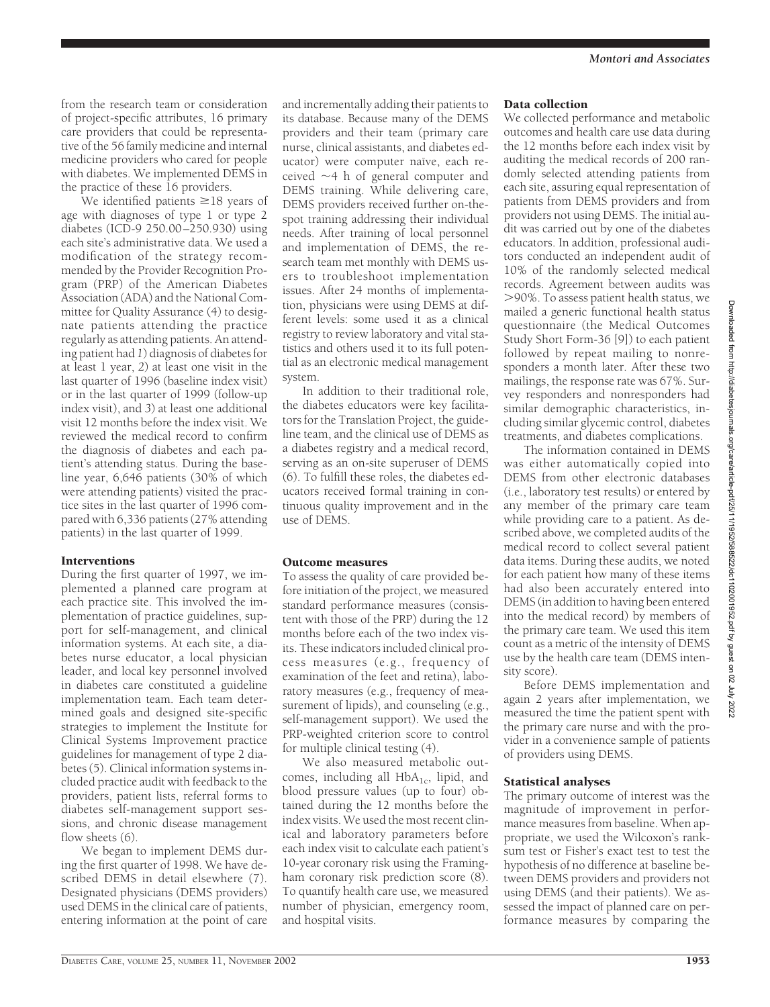from the research team or consideration of project-specific attributes, 16 primary care providers that could be representative of the 56 family medicine and internal medicine providers who cared for people with diabetes. We implemented DEMS in the practice of these 16 providers.

We identified patients  $\geq 18$  years of age with diagnoses of type 1 or type 2 diabetes (ICD-9 250.00–250.930) using each site's administrative data. We used a modification of the strategy recommended by the Provider Recognition Program (PRP) of the American Diabetes Association (ADA) and the National Committee for Quality Assurance (4) to designate patients attending the practice regularly as attending patients. An attending patient had *1*) diagnosis of diabetes for at least 1 year, *2*) at least one visit in the last quarter of 1996 (baseline index visit) or in the last quarter of 1999 (follow-up index visit), and *3*) at least one additional visit 12 months before the index visit. We reviewed the medical record to confirm the diagnosis of diabetes and each patient's attending status. During the baseline year, 6,646 patients (30% of which were attending patients) visited the practice sites in the last quarter of 1996 compared with 6,336 patients (27% attending patients) in the last quarter of 1999.

#### Interventions

During the first quarter of 1997, we implemented a planned care program at each practice site. This involved the implementation of practice guidelines, support for self-management, and clinical information systems. At each site, a diabetes nurse educator, a local physician leader, and local key personnel involved in diabetes care constituted a guideline implementation team. Each team determined goals and designed site-specific strategies to implement the Institute for Clinical Systems Improvement practice guidelines for management of type 2 diabetes (5). Clinical information systems included practice audit with feedback to the providers, patient lists, referral forms to diabetes self-management support sessions, and chronic disease management flow sheets  $(6)$ .

We began to implement DEMS during the first quarter of 1998. We have described DEMS in detail elsewhere (7). Designated physicians (DEMS providers) used DEMS in the clinical care of patients, entering information at the point of care

and incrementally adding their patients to its database. Because many of the DEMS providers and their team (primary care nurse, clinical assistants, and diabetes educator) were computer naïve, each received  $\sim$ 4 h of general computer and DEMS training. While delivering care, DEMS providers received further on-thespot training addressing their individual needs. After training of local personnel and implementation of DEMS, the research team met monthly with DEMS users to troubleshoot implementation issues. After 24 months of implementation, physicians were using DEMS at different levels: some used it as a clinical registry to review laboratory and vital statistics and others used it to its full potential as an electronic medical management system.

In addition to their traditional role, the diabetes educators were key facilitators for the Translation Project, the guideline team, and the clinical use of DEMS as a diabetes registry and a medical record, serving as an on-site superuser of DEMS (6). To fulfill these roles, the diabetes educators received formal training in continuous quality improvement and in the use of DEMS.

## Outcome measures

To assess the quality of care provided before initiation of the project, we measured standard performance measures (consistent with those of the PRP) during the 12 months before each of the two index visits. These indicators included clinical process measures (e.g., frequency of examination of the feet and retina), laboratory measures (e.g., frequency of measurement of lipids), and counseling (e.g., self-management support). We used the PRP-weighted criterion score to control for multiple clinical testing (4).

We also measured metabolic outcomes, including all  $HbA_{1c}$ , lipid, and blood pressure values (up to four) obtained during the 12 months before the index visits. We used the most recent clinical and laboratory parameters before each index visit to calculate each patient's 10-year coronary risk using the Framingham coronary risk prediction score (8). To quantify health care use, we measured number of physician, emergency room, and hospital visits.

## Data collection

We collected performance and metabolic outcomes and health care use data during the 12 months before each index visit by auditing the medical records of 200 randomly selected attending patients from each site, assuring equal representation of patients from DEMS providers and from providers not using DEMS. The initial audit was carried out by one of the diabetes educators. In addition, professional auditors conducted an independent audit of 10% of the randomly selected medical records. Agreement between audits was 90%. To assess patient health status, we mailed a generic functional health status questionnaire (the Medical Outcomes Study Short Form-36 [9]) to each patient followed by repeat mailing to nonresponders a month later. After these two mailings, the response rate was 67%. Survey responders and nonresponders had similar demographic characteristics, including similar glycemic control, diabetes treatments, and diabetes complications.

The information contained in DEMS was either automatically copied into DEMS from other electronic databases (i.e., laboratory test results) or entered by any member of the primary care team while providing care to a patient. As described above, we completed audits of the medical record to collect several patient data items. During these audits, we noted for each patient how many of these items had also been accurately entered into DEMS (in addition to having been entered into the medical record) by members of the primary care team. We used this item count as a metric of the intensity of DEMS use by the health care team (DEMS intensity score).

Before DEMS implementation and again 2 years after implementation, we measured the time the patient spent with the primary care nurse and with the provider in a convenience sample of patients of providers using DEMS.

## Statistical analyses

The primary outcome of interest was the magnitude of improvement in performance measures from baseline. When appropriate, we used the Wilcoxon's ranksum test or Fisher's exact test to test the hypothesis of no difference at baseline between DEMS providers and providers not using DEMS (and their patients). We assessed the impact of planned care on performance measures by comparing the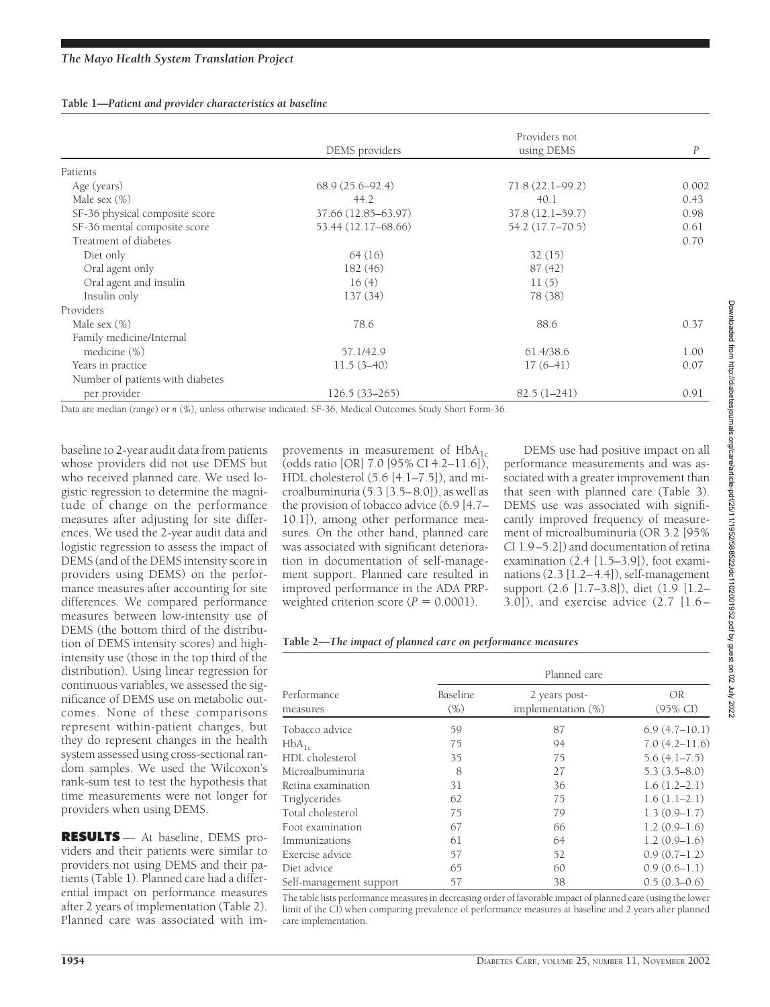| Table 1-Patient and provider characteristics at baseline |
|----------------------------------------------------------|
|----------------------------------------------------------|

|                                  | Providers not       |                     |                  |
|----------------------------------|---------------------|---------------------|------------------|
|                                  | DEMS providers      | using DEMS          | $\boldsymbol{P}$ |
| Patients                         |                     |                     |                  |
| Age (years)                      | $68.9(25.6 - 92.4)$ | $71.8(22.1 - 99.2)$ | 0.002            |
| Male sex $(\%)$                  | 44.2                | 40.1                | 0.43             |
| SF-36 physical composite score   | 37.66 (12.85-63.97) | $37.8(12.1 - 59.7)$ | 0.98             |
| SF-36 mental composite score     | 53.44 (12.17-68.66) | 54.2 (17.7-70.5)    | 0.61             |
| Treatment of diabetes            |                     |                     | 0.70             |
| Diet only                        | 64(16)              | 32(15)              |                  |
| Oral agent only                  | 182 (46)            | 87(42)              |                  |
| Oral agent and insulin           | 16(4)               | 11(5)               |                  |
| Insulin only                     | 137(34)             | 78 (38)             |                  |
| Providers                        |                     |                     |                  |
| Male sex $(\%)$                  | 78.6                | 88.6                | 0.37             |
| Family medicine/Internal         |                     |                     |                  |
| medicine $(\%)$                  | 57.1/42.9           | 61.4/38.6           | 1.00             |
| Years in practice                | $11.5(3-40)$        | $17(6-41)$          | 0.07             |
| Number of patients with diabetes |                     |                     |                  |
| per provider                     | $126.5(33 - 265)$   | $82.5(1-241)$       | 0.91             |

Data are median (range) or *n* (%), unless otherwise indicated. SF-36, Medical Outcomes Study Short Form-36.

baseline to 2-year audit data from patients whose providers did not use DEMS but who received planned care. We used logistic regression to determine the magnitude of change on the performance measures after adjusting for site differences. We used the 2-year audit data and logistic regression to assess the impact of DEMS (and of the DEMS intensity score in providers using DEMS) on the performance measures after accounting for site differences. We compared performance measures between low-intensity use of DEMS (the bottom third of the distribution of DEMS intensity scores) and highintensity use (those in the top third of the distribution). Using linear regression for continuous variables, we assessed the significance of DEMS use on metabolic outcomes. None of these comparisons represent within-patient changes, but they do represent changes in the health system assessed using cross-sectional random samples. We used the Wilcoxon's rank-sum test to test the hypothesis that time measurements were not longer for providers when using DEMS.

**RESULTS** — At baseline, DEMS providers and their patients were similar to providers not using DEMS and their patients (Table 1). Planned care had a differential impact on performance measures after 2 years of implementation (Table 2). Planned care was associated with im-

(odds ratio [OR] 7.0 [95% CI 4.2–11.6]), HDL cholesterol (5.6 [4.1–7.5]), and microalbuminuria (5.3 [3.5–8.0]), as well as the provision of tobacco advice (6.9 [4.7– 10.1]), among other performance measures. On the other hand, planned care was associated with significant deterioration in documentation of self-management support. Planned care resulted in improved performance in the ADA PRPweighted criterion score  $(P = 0.0001)$ .

provements in measurement of  $HbA_{1c}$ 

DEMS use had positive impact on all performance measurements and was associated with a greater improvement than that seen with planned care (Table 3). DEMS use was associated with significantly improved frequency of measurement of microalbuminuria (OR 3.2 [95% CI 1.9–5.2]) and documentation of retina examination (2.4 [1.5–3.9]), foot examinations (2.3 [1.2–4.4]), self-management support (2.6 [1.7–3.8]), diet (1.9 [1.2– 3.0]), and exercise advice (2.7 [1.6 –

| Performance<br>measures | Planned care        |                                     |                                  |  |
|-------------------------|---------------------|-------------------------------------|----------------------------------|--|
|                         | Baseline<br>$(\% )$ | 2 years post-<br>implementation (%) | <b>OR</b><br>$(95\% \text{ CI})$ |  |
| Tobacco advice          | 59                  | 87                                  | $6.9(4.7-10.1)$                  |  |
| $HbA_{1c}$              | 75                  | 94                                  | $7.0(4.2 - 11.6)$                |  |
| HDL cholesterol         | 35                  | 75                                  | 5.6(4.1–7.5)                     |  |
| Microalbuminuria        | 8                   | 27                                  | $5.3(3.5-8.0)$                   |  |
| Retina examination      | 31                  | 36                                  | $1.6(1.2-2.1)$                   |  |
| Triglycerides           | 62                  | 75                                  | $1.6(1.1-2.1)$                   |  |
| Total cholesterol       | 75                  | 79                                  | $1.3(0.9-1.7)$                   |  |
| Foot examination        | 67                  | 66                                  | $1.2(0.9-1.6)$                   |  |
| Immunizations           | 61                  | 64                                  | $1.2(0.9-1.6)$                   |  |
| Exercise advice         | 57                  | 52                                  | $0.9(0.7-1.2)$                   |  |
| Diet advice             | 65                  | 60                                  | $0.9(0.6-1.1)$                   |  |
| Self-management support | 57                  | 38                                  | $0.5(0.3-0.6)$                   |  |

The table lists performance measures in decreasing order of favorable impact of planned care (using the lower limit of the CI) when comparing prevalence of performance measures at baseline and 2 years after planned care implementation.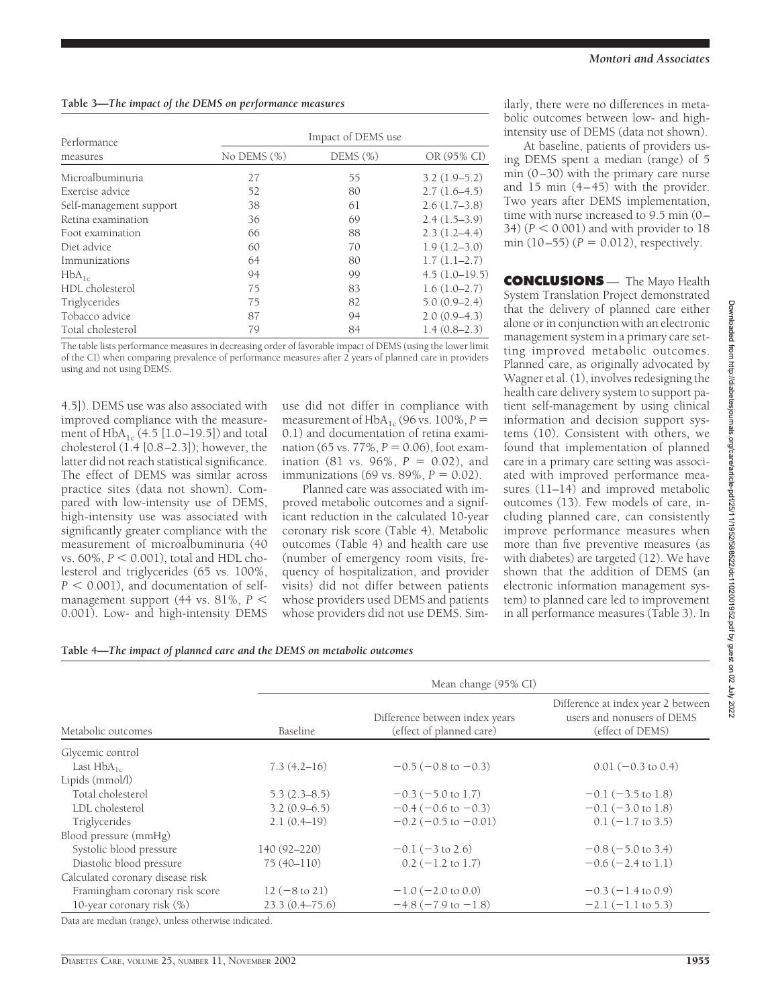**Table 3—***The impact of the DEMS on performance measures*

| Performance             | Impact of DEMS use |             |                 |  |
|-------------------------|--------------------|-------------|-----------------|--|
| measures                | No DEMS (%)        | DEMS $(\%)$ | OR (95% CI)     |  |
| Microalbuminuria        | 27                 | 55          | $3.2(1.9-5.2)$  |  |
| Exercise advice         | 52                 | 80          | $2.7(1.6-4.5)$  |  |
| Self-management support | 38                 | 61          | $2.6(1.7-3.8)$  |  |
| Retina examination      | 36                 | 69          | $2.4(1.5-3.9)$  |  |
| Foot examination        | 66                 | 88          | $2.3(1.2-4.4)$  |  |
| Diet advice             | 60                 | 70          | $1.9(1.2-3.0)$  |  |
| Immunizations           | 64                 | 80          | $1.7(1.1-2.7)$  |  |
| $HbA_{1c}$              | 94                 | 99          | $4.5(1.0-19.5)$ |  |
| HDL cholesterol         | 75                 | 83          | $1.6(1.0-2.7)$  |  |
| Triglycerides           | 75                 | 82          | $5.0(0.9-2.4)$  |  |
| Tobacco advice          | 87                 | 94          | $2.0(0.9-4.3)$  |  |
| Total cholesterol       | 79                 | 84          | $1.4(0.8-2.3)$  |  |

The table lists performance measures in decreasing order of favorable impact of DEMS (using the lower limit of the CI) when comparing prevalence of performance measures after  $\hat{2}$  years of planned care in providers using and not using DEMS.

4.5]). DEMS use was also associated with improved compliance with the measurement of  $HbA_{1c}$  (4.5 [1.0–19.5]) and total cholesterol (1.4 [0.8–2.3]); however, the latter did not reach statistical significance. The effect of DEMS was similar across practice sites (data not shown). Compared with low-intensity use of DEMS, high-intensity use was associated with significantly greater compliance with the measurement of microalbuminuria (40 vs.  $60\%$ ,  $P < 0.001$ ), total and HDL cholesterol and triglycerides (65 vs. 100%,  $P < 0.001$ ), and documentation of selfmanagement support (44 vs. 81%, *P* 0.001). Low- and high-intensity DEMS

use did not differ in compliance with measurement of HbA<sub>1c</sub> (96 vs. 100%,  $P =$ 0.1) and documentation of retina examination (65 vs.  $77\%$ ,  $P = 0.06$ ), foot examination (81 vs.  $96\%$ ,  $P = 0.02$ ), and immunizations (69 vs.  $89\%$ ,  $P = 0.02$ ).

Planned care was associated with improved metabolic outcomes and a significant reduction in the calculated 10-year coronary risk score (Table 4). Metabolic outcomes (Table 4) and health care use (number of emergency room visits, frequency of hospitalization, and provider visits) did not differ between patients whose providers used DEMS and patients whose providers did not use DEMS. Sim-

ilarly, there were no differences in metabolic outcomes between low- and highintensity use of DEMS (data not shown).

At baseline, patients of providers using DEMS spent a median (range) of 5 min (0–30) with the primary care nurse and 15 min (4–45) with the provider. Two years after DEMS implementation, time with nurse increased to 9.5 min (0–  $34$ ) ( $P < 0.001$ ) and with provider to 18 min (10–55) ( $P = 0.012$ ), respectively.

**CONCLUSIONS** — The Mayo Health System Translation Project demonstrated that the delivery of planned care either alone or in conjunction with an electronic management system in a primary care setting improved metabolic outcomes. Planned care, as originally advocated by Wagner et al. (1), involves redesigning the health care delivery system to support patient self-management by using clinical information and decision support systems (10). Consistent with others, we found that implementation of planned care in a primary care setting was associated with improved performance measures (11–14) and improved metabolic outcomes (13). Few models of care, including planned care, can consistently improve performance measures when more than five preventive measures (as with diabetes) are targeted (12). We have shown that the addition of DEMS (an electronic information management system) to planned care led to improvement in all performance measures (Table 3). In

|                                  |                    | Mean change (95% CI)                                       |                                                                                      |  |  |
|----------------------------------|--------------------|------------------------------------------------------------|--------------------------------------------------------------------------------------|--|--|
| Metabolic outcomes               | Baseline           | Difference between index years<br>(effect of planned care) | Difference at index year 2 between<br>users and nonusers of DEMS<br>(effect of DEMS) |  |  |
| Glycemic control                 |                    |                                                            |                                                                                      |  |  |
| Last $HbA_{1c}$                  | $7.3(4.2-16)$      | $-0.5$ ( $-0.8$ to $-0.3$ )                                | $0.01 (-0.3 \text{ to } 0.4)$                                                        |  |  |
| Lipids (mmol/l)                  |                    |                                                            |                                                                                      |  |  |
| Total cholesterol                | $5.3(2.3-8.5)$     | $-0.3$ ( $-5.0$ to 1.7)                                    | $-0.1$ ( $-3.5$ to 1.8)                                                              |  |  |
| LDL cholesterol                  | $3.2(0.9-6.5)$     | $-0.4$ ( $-0.6$ to $-0.3$ )                                | $-0.1$ ( $-3.0$ to 1.8)                                                              |  |  |
| Triglycerides                    | $2.1(0.4-19)$      | $-0.2$ (-0.5 to $-0.01$ )                                  | $0.1 (-1.7 \text{ to } 3.5)$                                                         |  |  |
| Blood pressure (mmHg)            |                    |                                                            |                                                                                      |  |  |
| Systolic blood pressure          | $140(92 - 220)$    | $-0.1$ ( $-3$ to 2.6)                                      | $-0.8$ ( $-5.0$ to 3.4)                                                              |  |  |
| Diastolic blood pressure         | $75(40 - 110)$     | $0.2$ (-1.2 to 1.7)                                        | $-0.6$ ( $-2.4$ to 1.1)                                                              |  |  |
| Calculated coronary disease risk |                    |                                                            |                                                                                      |  |  |
| Framingham coronary risk score   | $12 (-8 to 21)$    | $-1.0$ (-2.0 to 0.0)                                       | $-0.3$ ( $-1.4$ to 0.9)                                                              |  |  |
| 10-year coronary risk (%)        | $23.3(0.4 - 75.6)$ | $-4.8$ ( $-7.9$ to $-1.8$ )                                | $-2.1$ ( $-1.1$ to 5.3)                                                              |  |  |

Data are median (range), unless otherwise indicated.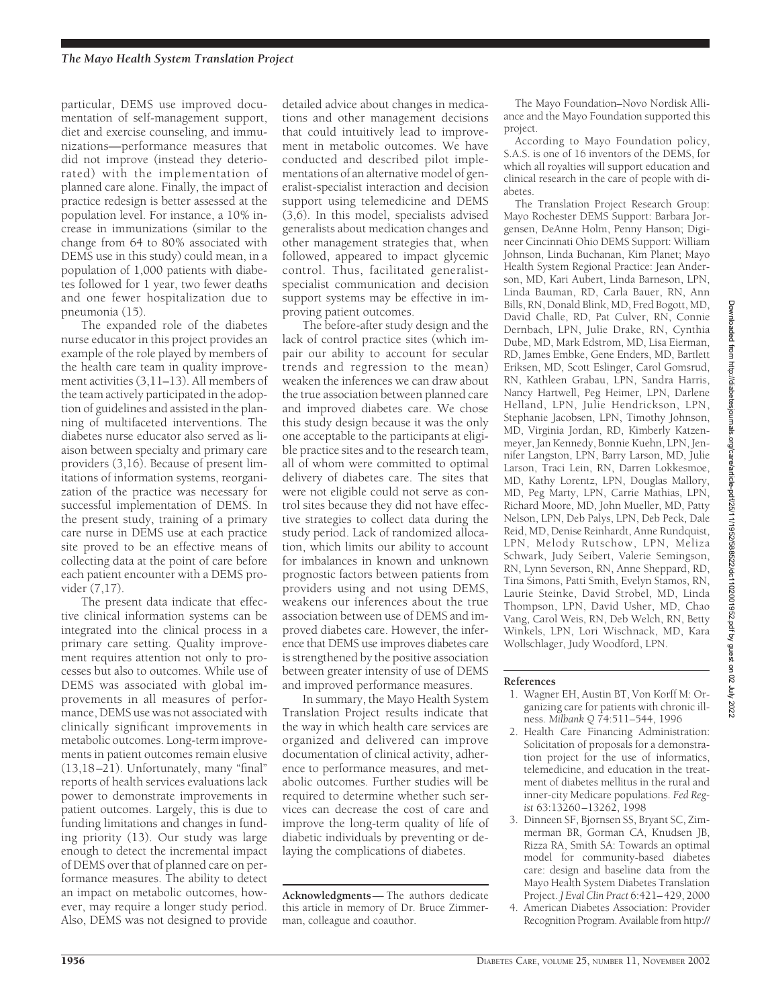particular, DEMS use improved documentation of self-management support, diet and exercise counseling, and immunizations—performance measures that did not improve (instead they deteriorated) with the implementation of planned care alone. Finally, the impact of practice redesign is better assessed at the population level. For instance, a 10% increase in immunizations (similar to the change from 64 to 80% associated with DEMS use in this study) could mean, in a population of 1,000 patients with diabetes followed for 1 year, two fewer deaths and one fewer hospitalization due to pneumonia (15).

The expanded role of the diabetes nurse educator in this project provides an example of the role played by members of the health care team in quality improvement activities (3,11–13). All members of the team actively participated in the adoption of guidelines and assisted in the planning of multifaceted interventions. The diabetes nurse educator also served as liaison between specialty and primary care providers (3,16). Because of present limitations of information systems, reorganization of the practice was necessary for successful implementation of DEMS. In the present study, training of a primary care nurse in DEMS use at each practice site proved to be an effective means of collecting data at the point of care before each patient encounter with a DEMS provider (7,17).

The present data indicate that effective clinical information systems can be integrated into the clinical process in a primary care setting. Quality improvement requires attention not only to processes but also to outcomes. While use of DEMS was associated with global improvements in all measures of performance, DEMS use was not associated with clinically significant improvements in metabolic outcomes. Long-term improvements in patient outcomes remain elusive (13,18–21). Unfortunately, many "final" reports of health services evaluations lack power to demonstrate improvements in patient outcomes. Largely, this is due to funding limitations and changes in funding priority (13). Our study was large enough to detect the incremental impact of DEMS over that of planned care on performance measures. The ability to detect an impact on metabolic outcomes, however, may require a longer study period. Also, DEMS was not designed to provide

detailed advice about changes in medications and other management decisions that could intuitively lead to improvement in metabolic outcomes. We have conducted and described pilot implementations of an alternative model of generalist-specialist interaction and decision support using telemedicine and DEMS (3,6). In this model, specialists advised generalists about medication changes and other management strategies that, when followed, appeared to impact glycemic control. Thus, facilitated generalistspecialist communication and decision support systems may be effective in improving patient outcomes.

The before-after study design and the lack of control practice sites (which impair our ability to account for secular trends and regression to the mean) weaken the inferences we can draw about the true association between planned care and improved diabetes care. We chose this study design because it was the only one acceptable to the participants at eligible practice sites and to the research team, all of whom were committed to optimal delivery of diabetes care. The sites that were not eligible could not serve as control sites because they did not have effective strategies to collect data during the study period. Lack of randomized allocation, which limits our ability to account for imbalances in known and unknown prognostic factors between patients from providers using and not using DEMS, weakens our inferences about the true association between use of DEMS and improved diabetes care. However, the inference that DEMS use improves diabetes care is strengthened by the positive association between greater intensity of use of DEMS and improved performance measures.

In summary, the Mayo Health System Translation Project results indicate that the way in which health care services are organized and delivered can improve documentation of clinical activity, adherence to performance measures, and metabolic outcomes. Further studies will be required to determine whether such services can decrease the cost of care and improve the long-term quality of life of diabetic individuals by preventing or delaying the complications of diabetes.

**Acknowledgments**— The authors dedicate this article in memory of Dr. Bruce Zimmerman, colleague and coauthor.

The Mayo Foundation–Novo Nordisk Alliance and the Mayo Foundation supported this project.

According to Mayo Foundation policy, S.A.S. is one of 16 inventors of the DEMS, for which all royalties will support education and clinical research in the care of people with diabetes.

The Translation Project Research Group: Mayo Rochester DEMS Support: Barbara Jorgensen, DeAnne Holm, Penny Hanson; Digineer Cincinnati Ohio DEMS Support: William Johnson, Linda Buchanan, Kim Planet; Mayo Health System Regional Practice: Jean Anderson, MD, Kari Aubert, Linda Barneson, LPN, Linda Bauman, RD, Carla Bauer, RN, Ann Bills, RN, Donald Blink, MD, Fred Bogott, MD, David Challe, RD, Pat Culver, RN, Connie Dernbach, LPN, Julie Drake, RN, Cynthia Dube, MD, Mark Edstrom, MD, Lisa Eierman, RD, James Embke, Gene Enders, MD, Bartlett Eriksen, MD, Scott Eslinger, Carol Gomsrud, RN, Kathleen Grabau, LPN, Sandra Harris, Nancy Hartwell, Peg Heimer, LPN, Darlene Helland, LPN, Julie Hendrickson, LPN, Stephanie Jacobsen, LPN, Timothy Johnson, MD, Virginia Jordan, RD, Kimberly Katzenmeyer, Jan Kennedy, Bonnie Kuehn, LPN, Jennifer Langston, LPN, Barry Larson, MD, Julie Larson, Traci Lein, RN, Darren Lokkesmoe, MD, Kathy Lorentz, LPN, Douglas Mallory, MD, Peg Marty, LPN, Carrie Mathias, LPN, Richard Moore, MD, John Mueller, MD, Patty Nelson, LPN, Deb Palys, LPN, Deb Peck, Dale Reid, MD, Denise Reinhardt, Anne Rundquist, LPN, Melody Rutschow, LPN, Meliza Schwark, Judy Seibert, Valerie Semingson, RN, Lynn Severson, RN, Anne Sheppard, RD, Tina Simons, Patti Smith, Evelyn Stamos, RN, Laurie Steinke, David Strobel, MD, Linda Thompson, LPN, David Usher, MD, Chao Vang, Carol Weis, RN, Deb Welch, RN, Betty Winkels, LPN, Lori Wischnack, MD, Kara Wollschlager, Judy Woodford, LPN.

#### **References**

- 1. Wagner EH, Austin BT, Von Korff M: Organizing care for patients with chronic illness. *Milbank Q* 74:511–544, 1996
- 2. Health Care Financing Administration: Solicitation of proposals for a demonstration project for the use of informatics, telemedicine, and education in the treatment of diabetes mellitus in the rural and inner-city Medicare populations. *Fed Regist* 63:13260–13262, 1998
- 3. Dinneen SF, Bjornsen SS, Bryant SC, Zimmerman BR, Gorman CA, Knudsen JB, Rizza RA, Smith SA: Towards an optimal model for community-based diabetes care: design and baseline data from the Mayo Health System Diabetes Translation Project. *J Eval Clin Pract* 6:421–429, 2000
- 4. American Diabetes Association: Provider Recognition Program. Available from http://